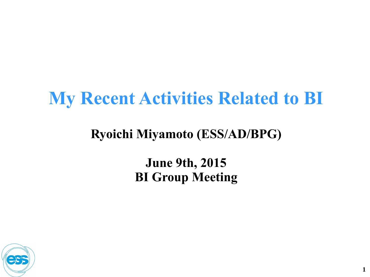# **My Recent Activities Related to BI**

#### **Ryoichi Miyamoto (ESS/AD/BPG)**

#### **June 9th, 2015 BI Group Meeting**

**1**

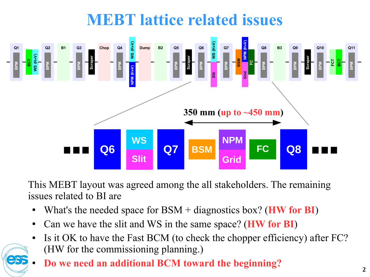## **MEBT lattice related issues**



This MEBT layout was agreed among the all stakeholders. The remaining issues related to BI are

- What's the needed space for BSM + diagnostics box? (**HW for BI**)
- Can we have the slit and WS in the same space? (**HW for BI**)
- Is it OK to have the Fast BCM (to check the chopper efficiency) after FC? (HW for the commissioning planning.)
- **Do we need an additional BCM toward the beginning?**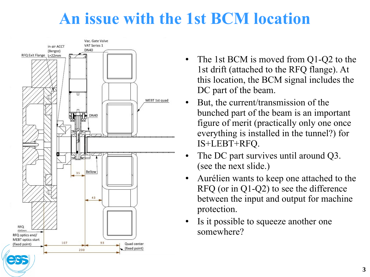### **An issue with the 1st BCM location**



- The 1st BCM is moved from  $Q1-Q2$  to the 1st drift (attached to the RFQ flange). At this location, the BCM signal includes the DC part of the beam.
- But, the current/transmission of the bunched part of the beam is an important figure of merit (practically only one once everything is installed in the tunnel?) for IS+LEBT+RFQ.
- The DC part survives until around Q3. (see the next slide.)
- Aurélien wants to keep one attached to the RFQ (or in Q1-Q2) to see the difference between the input and output for machine protection.
- Is it possible to squeeze another one somewhere?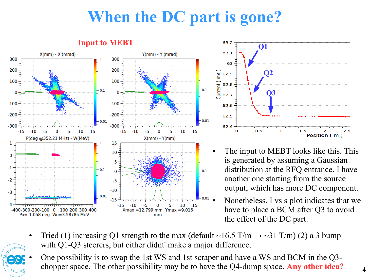# **When the DC part is gone?**





- The input to MEBT looks like this. This is generated by assuming a Gaussian distribution at the RFQ entrance. I have another one starting from the source output, which has more DC component.
- Nonetheless, I vs s plot indicates that we have to place a BCM after Q3 to avoid the effect of the DC part.
- Tried (1) increasing Q1 strength to the max (default ~16.5 T/m  $\rightarrow$  ~31 T/m) (2) a 3 bump with Q1-Q3 steerers, but either didnt' make a major difference.
- One possibility is to swap the 1st WS and 1st scraper and have a WS and BCM in the Q3chopper space. The other possibility may be to have the Q4-dump space. **Any other idea?**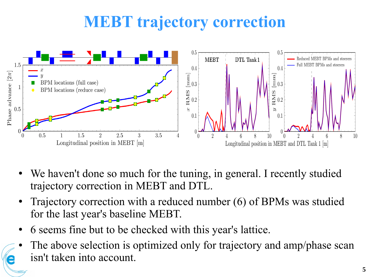## **MEBT trajectory correction**



- We haven't done so much for the tuning, in general. I recently studied trajectory correction in MEBT and DTL.
- Trajectory correction with a reduced number (6) of BPMs was studied for the last year's baseline MEBT.
- 6 seems fine but to be checked with this year's lattice.
- The above selection is optimized only for trajectory and amp/phase scan isn't taken into account.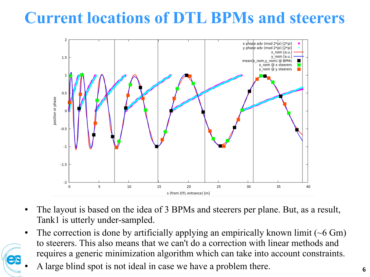## **Current locations of DTL BPMs and steerers**



- The layout is based on the idea of 3 BPMs and steerers per plane. But, as a result, Tank1 is utterly under-sampled.
- The correction is done by artificially applying an empirically known limit  $($   $\sim$  6 Gm) to steerers. This also means that we can't do a correction with linear methods and requires a generic minimization algorithm which can take into account constraints.
- A large blind spot is not ideal in case we have a problem there.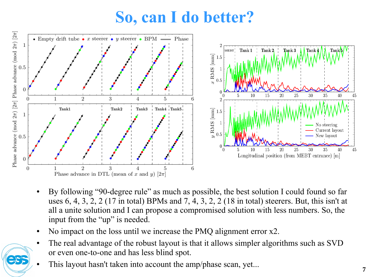## **So, can I do better?**



- By following "90-degree rule" as much as possible, the best solution I could found so far uses 6, 4, 3, 2, 2 (17 in total) BPMs and 7, 4, 3, 2, 2 (18 in total) steerers. But, this isn't at all a unite solution and I can propose a compromised solution with less numbers. So, the input from the "up" is needed.
- No impact on the loss until we increase the PMQ alignment error x2.
- The real advantage of the robust layout is that it allows simpler algorithms such as SVD or even one-to-one and has less blind spot.
- This layout hasn't taken into account the amp/phase scan, yet...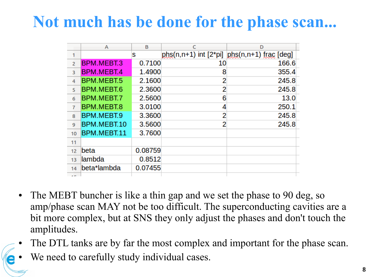#### **Not much has be done for the phase scan...**

|                | A                 | B       |                           | D                        |
|----------------|-------------------|---------|---------------------------|--------------------------|
| 1              |                   | s       | $phs(n,n+1)$ int $[2*pi]$ | $phs(n, n+1)$ frac [deg] |
| $\overline{2}$ | BPM.MEBT.3        | 0.7100  | 10                        | 166.6                    |
| 3              | <b>BPM.MEBT.4</b> | 1.4900  | 8                         | 355.4                    |
| 4              | BPM.MEBT.5        | 2.1600  | 2                         | 245.8                    |
| 5              | BPM.MEBT.6        | 2.3600  | 2                         | 245.8                    |
| 6              | BPM.MEBT.7        | 2.5600  | 6                         | 13.0                     |
| $\overline{7}$ | BPM.MEBT.8        | 3.0100  | 4                         | 250.1                    |
| 8              | BPM.MEBT.9        | 3.3600  | 2                         | 245.8                    |
| 9              | BPM.MEBT.10       | 3.5600  | 2                         | 245.8                    |
| 10             | BPM.MEBT.11       | 3.7600  |                           |                          |
| 11             |                   |         |                           |                          |
| 12             | beta              | 0.08759 |                           |                          |
| 13             | lambda            | 0.8512  |                           |                          |
| 14             | beta*lambda       | 0.07455 |                           |                          |
| $-$            |                   |         |                           |                          |

- The MEBT buncher is like a thin gap and we set the phase to 90 deg, so amp/phase scan MAY not be too difficult. The superconducting cavities are a bit more complex, but at SNS they only adjust the phases and don't touch the amplitudes.
- The DTL tanks are by far the most complex and important for the phase scan.
- We need to carefully study individual cases.